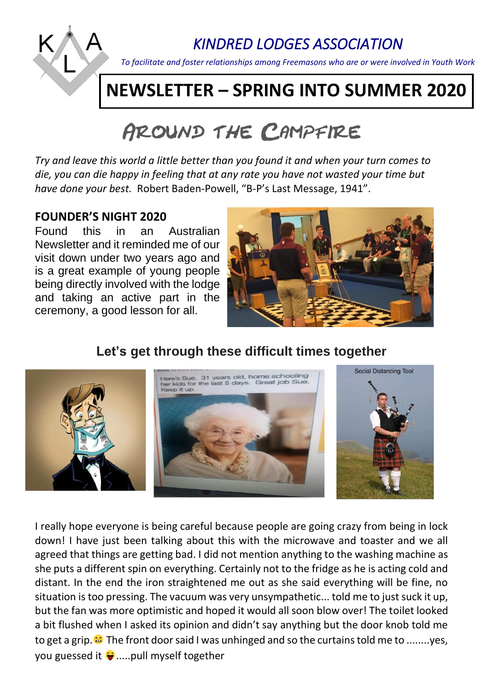

### *KINDRED LODGES ASSOCIATION*

*To facilitate and foster relationships among Freemasons who are or were involved in Youth Work*

## **NEWSLETTER – SPRING INTO SUMMER 2020**

# AROUND THE CAMPFIRE

*Try and leave this world a little better than you found it and when your turn comes to die, you can die happy in feeling that at any rate you have not wasted your time but have done your best.* Robert Baden-Powell, "B-P's Last Message, 1941".

#### **FOUNDER'S NIGHT 2020**

Found this in an Australian Newsletter and it reminded me of our visit down under two years ago and is a great example of young people being directly involved with the lodge and taking an active part in the ceremony, a good lesson for all.



#### **Let's get through these difficult times together**



I really hope everyone is being careful because people are going crazy from being in lock down! I have just been talking about this with the microwave and toaster and we all agreed that things are getting bad. I did not mention anything to the washing machine as she puts a different spin on everything. Certainly not to the fridge as he is acting cold and distant. In the end the iron straightened me out as she said everything will be fine, no situation is too pressing. The vacuum was very unsympathetic... told me to just suck it up, but the fan was more optimistic and hoped it would all soon blow over! The toilet looked a bit flushed when I asked its opinion and didn't say anything but the door knob told me to get a grip. <sup>2</sup> The front door said I was unhinged and so the curtains told me to ........yes, you guessed it  $\ddot{\mathbf{y}}$ .....pull myself together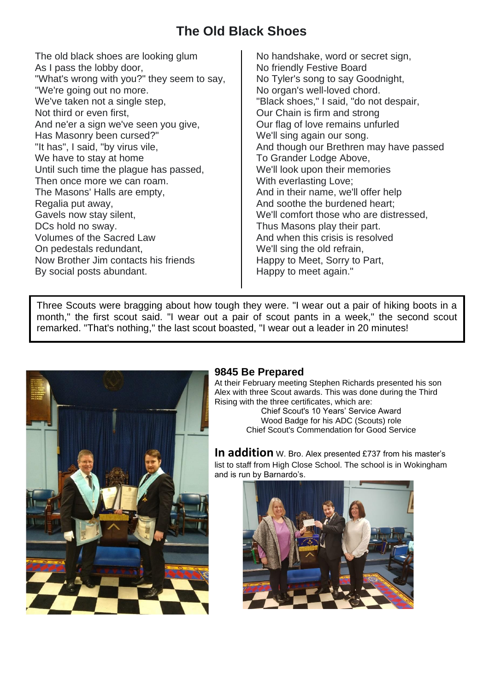#### **The Old Black Shoes**

The old black shoes are looking glum As I pass the lobby door, "What's wrong with you?" they seem to say, "We're going out no more. We've taken not a single step, Not third or even first, And ne'er a sign we've seen you give, Has Masonry been cursed?" "It has", I said, "by virus vile, We have to stay at home Until such time the plague has passed, Then once more we can roam. The Masons' Halls are empty, Regalia put away, Gavels now stay silent, DCs hold no sway. Volumes of the Sacred Law On pedestals redundant, Now Brother Jim contacts his friends By social posts abundant.

No handshake, word or secret sign, No friendly Festive Board No Tyler's song to say Goodnight, No organ's well-loved chord. "Black shoes," I said, "do not despair, Our Chain is firm and strong Our flag of love remains unfurled We'll sing again our song. And though our Brethren may have passed To Grander Lodge Above, We'll look upon their memories With everlasting Love; And in their name, we'll offer help And soothe the burdened heart; We'll comfort those who are distressed, Thus Masons play their part. And when this crisis is resolved We'll sing the old refrain. Happy to Meet, Sorry to Part, Happy to meet again."

Three Scouts were bragging about how tough they were. "I wear out a pair of hiking boots in a month," the first scout said. "I wear out a pair of scout pants in a week," the second scout remarked. "That's nothing," the last scout boasted, "I wear out a leader in 20 minutes!



#### **9845 Be Prepared**

At their February meeting Stephen Richards presented his son Alex with three Scout awards. This was done during the Third Rising with the three certificates, which are:

Chief Scout's 10 Years' Service Award Wood Badge for his ADC (Scouts) role Chief Scout's Commendation for Good Service

**In addition** W. Bro. Alex presented £737 from his master's list to staff from High Close School. The school is in Wokingham and is run by Barnardo's.

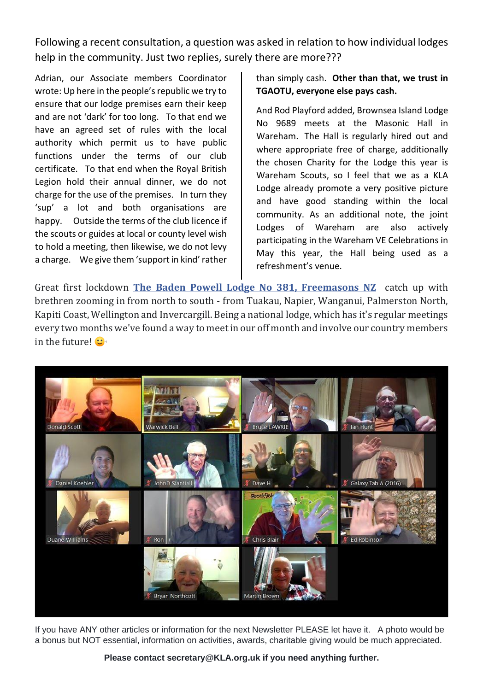Following a recent consultation, a question was asked in relation to how individual lodges help in the community. Just two replies, surely there are more???

Adrian, our Associate members Coordinator wrote: Up here in the people's republic we try to ensure that our lodge premises earn their keep and are not 'dark' for too long. To that end we have an agreed set of rules with the local authority which permit us to have public functions under the terms of our club certificate. To that end when the Royal British Legion hold their annual dinner, we do not charge for the use of the premises. In turn they 'sup' a lot and both organisations are happy. Outside the terms of the club licence if the scouts or guides at local or county level wish to hold a meeting, then likewise, we do not levy a charge. We give them 'support in kind' rather

than simply cash. **Other than that, we trust in TGAOTU, everyone else pays cash.**

And Rod Playford added, Brownsea Island Lodge No 9689 meets at the Masonic Hall in Wareham. The Hall is regularly hired out and where appropriate free of charge, additionally the chosen Charity for the Lodge this year is Wareham Scouts, so I feel that we as a KLA Lodge already promote a very positive picture and have good standing within the local community. As an additional note, the joint Lodges of Wareham are also actively participating in the Wareham VE Celebrations in May this year, the Hall being used as a refreshment's venue.

Great first lockdown **[The Baden Powell Lodge No 381, Freemasons NZ](https://www.facebook.com/Baden.Powell.Lodge381/?tn-str=k%2AF&hc_location=group_dialog)** catch up with brethren zooming in from north to south - from Tuakau, Napier, Wanganui, Palmerston North, Kapiti Coast, Wellington and Invercargill. Being a national lodge, which has it's regular meetings every two months we've found a way to meet in our off month and involve our country members in the future!  $\mathbf{C}^{\bullet}$ 



If you have ANY other articles or information for the next Newsletter PLEASE let have it. A photo would be a bonus but NOT essential, information on activities, awards, charitable giving would be much appreciated.

**Please contact [secretary@KLA.org.uk](mailto:secretary@KLA.org.uk) if you need anything further.**